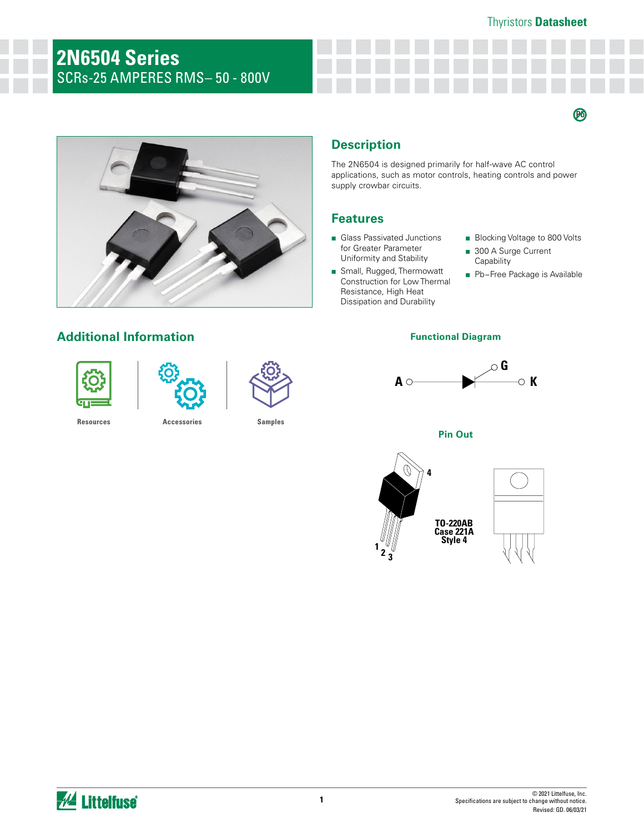### Thyristors **Datasheet**

 $\boldsymbol{\varnothing}$ 

# **2N6504 Series**  SCRs-25 AMPERES RMS– 50 - 800V



## **Description**

The 2N6504 is designed primarily for half-wave AC control applications, such as motor controls, heating controls and power supply crowbar circuits.

### **Features**

- Glass Passivated Junctions for Greater Parameter Uniformity and Stability
- Small, Rugged, Thermowatt Construction for Low Thermal Resistance, High Heat Dissipation and Durability
- Blocking Voltage to 800 Volts
- 300 A Surge Current **Capability**
- Pb-Free Package is Available

#### **Functional Diagram**



**Pin Out**



## **Additional Information**





**[Resources](https://www.littelfuse.com/products/power-semiconductors/discrete-thyristors/scr/2n650x.aspx) [Accessories](https://www.littelfuse.com/products/power-semiconductors/discrete-thyristors/scr/2n650x.aspx) [Samples](https://www.littelfuse.com/products/power-semiconductors/discrete-thyristors/scr/2n650x.aspx)**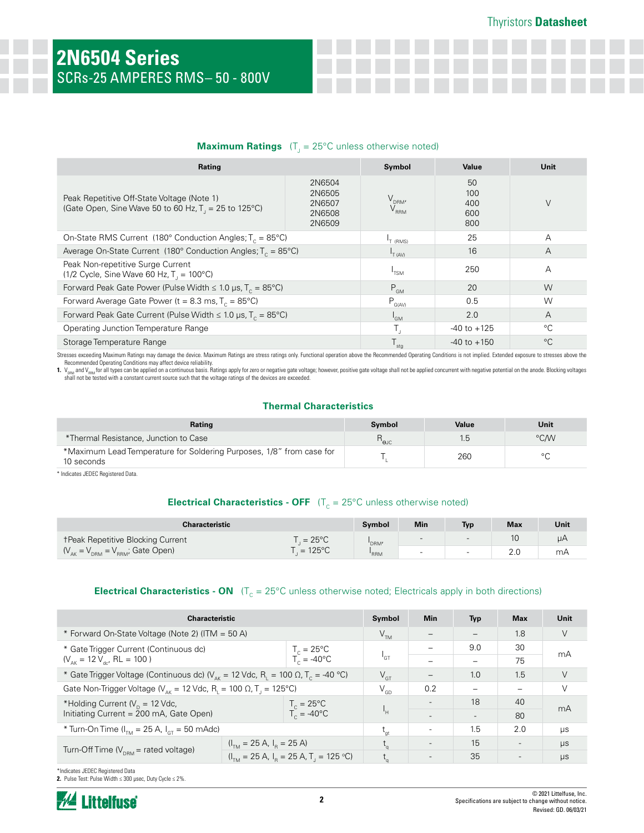## **Maximum Ratings** (T<sub>J</sub> = 25°C unless otherwise noted)

| Rating                                                                                                | Symbol                                         | Value                                  | Unit                           |   |
|-------------------------------------------------------------------------------------------------------|------------------------------------------------|----------------------------------------|--------------------------------|---|
| Peak Repetitive Off-State Voltage (Note 1)<br>(Gate Open, Sine Wave 50 to 60 Hz, $T_1 = 25$ to 125°C) | 2N6504<br>2N6505<br>2N6507<br>2N6508<br>2N6509 | V <sub>drm</sub> ,<br>V <sub>rrm</sub> | 50<br>100<br>400<br>600<br>800 | V |
| On-State RMS Current (180 $^{\circ}$ Conduction Angles; T <sub>c</sub> = 85 $^{\circ}$ C)             | <sup>I</sup> T (RMS)                           | 25                                     | А                              |   |
| Average On-State Current (180° Conduction Angles; $T_c = 85^{\circ}$ C)                               | IT (AV)                                        | 16                                     | A                              |   |
| Peak Non-repetitive Surge Current<br>(1/2 Cycle, Sine Wave 60 Hz, $T_1 = 100^{\circ}$ C)              | <sup>1</sup> TSM                               | 250                                    | А                              |   |
| Forward Peak Gate Power (Pulse Width $\leq 1.0$ µs, T <sub>c</sub> = 85°C)                            | $P_{GM}$                                       | 20                                     | W                              |   |
| Forward Average Gate Power (t = 8.3 ms, $T_c = 85^{\circ}$ C)                                         | $P_{G(AV)}$                                    | 0.5                                    | W                              |   |
| Forward Peak Gate Current (Pulse Width $\leq 1.0$ µs, T <sub>c</sub> = 85°C)                          | $I_{GM}$                                       | 2.0                                    | A                              |   |
| Operating Junction Temperature Range                                                                  |                                                | $-40$ to $+125$                        | $^{\circ}$ C                   |   |
| Storage Temperature Range                                                                             | stg                                            | $-40$ to $+150$                        | $^{\circ}C$                    |   |

Stresses exceeding Maximum Ratings may damage the device. Maximum Ratings are stress ratings only. Functional operation above the Recommended Operating Conditions is not implied. Extended exposure to stresses above the

Recommended Operating Conditions may affect device reliability.<br>1. V<sub>ises d</sub>and V<sub>ises</sub> for all types can be applied on a continuous basis. Ratings apply for zero or negative gate voltage; however, positive gate voltage sh

#### **Thermal Characteristics**

| Rating                                                                             | Symbol                      | Value | Unit |
|------------------------------------------------------------------------------------|-----------------------------|-------|------|
| *Thermal Resistance, Junction to Case                                              | $\mathsf{R}_{\mathsf{euc}}$ | 1.5   | °C/W |
| *Maximum Lead Temperature for Soldering Purposes, 1/8" from case for<br>10 seconds |                             | 260   |      |

\* Indicates JEDEC Registered Data.

### **Electrical Characteristics - OFF**  $(T_c = 25^{\circ}C$  unless otherwise noted)

| Characteristic                                      |                 |            | Min                      | Typ | Max | Unit      |
|-----------------------------------------------------|-----------------|------------|--------------------------|-----|-----|-----------|
| <b>TPeak Repetitive Blocking Current</b>            | $=25^{\circ}$ C | 'DRM'      | $\sim$                   |     |     | <b>UA</b> |
| $(V_{_{AK}} = V_{_{DRM}} = V_{_{RRM}}$ ; Gate Open) | $125^{\circ}$ C | <b>RRM</b> | $\overline{\phantom{0}}$ |     |     | mA        |

### **Electrical Characteristics - ON**  $(T_c = 25^{\circ}C$  unless otherwise noted; Electricals apply in both directions)

| <b>Characteristic</b>                                                                                                       |                                                               | Symbol                                 | <b>Min</b>               | <b>Typ</b>               | <b>Max</b>               | Unit                     |         |
|-----------------------------------------------------------------------------------------------------------------------------|---------------------------------------------------------------|----------------------------------------|--------------------------|--------------------------|--------------------------|--------------------------|---------|
| * Forward On-State Voltage (Note 2) (ITM = 50 A)                                                                            |                                                               |                                        | V <sub>TM</sub>          | $\qquad \qquad -$        |                          | 1.8                      | V       |
| * Gate Trigger Current (Continuous dc)                                                                                      |                                                               | $T_c = 25^{\circ}$ C                   |                          | $\equiv$                 | 9.0                      | 30                       | mA      |
| $(V_{\text{AK}} = 12 V_{\text{dc}}$ , RL = 100)                                                                             |                                                               | $T_c = -40^{\circ}C$                   | <sup>1</sup> GT          |                          |                          | 75                       |         |
| * Gate Trigger Voltage (Continuous dc) ( $V_{\text{av}}$ = 12 Vdc, R <sub>1</sub> = 100 $\Omega$ , T <sub>c</sub> = -40 °C) |                                                               |                                        | $V_{GT}$                 | $\overline{\phantom{m}}$ | 1.0                      | 1.5                      | V       |
| Gate Non-Trigger Voltage ( $V_{\text{ak}} = 12$ Vdc, R <sub>1</sub> = 100 $\Omega$ , T <sub>1</sub> = 125°C)                |                                                               | $V_{GD}$                               | 0.2                      |                          | -                        | V                        |         |
| *Holding Current ( $V_p$ = 12 Vdc,<br>$T_c = 25^{\circ}C$                                                                   |                                                               |                                        | $\sim$                   | 18                       | 40                       | mA                       |         |
| Initiating Current = 200 mA, Gate Open)                                                                                     |                                                               | $T_c = -40^{\circ}C$                   | 'н                       | $\overline{\phantom{a}}$ | $\overline{\phantom{0}}$ | 80                       |         |
| * Turn-On Time ( $I_{TM}$ = 25 A, $I_{CT}$ = 50 mAdc)                                                                       |                                                               | $t_{gt}$                               | $\overline{\phantom{a}}$ | 1.5                      | 2.0                      | <b>LIS</b>               |         |
|                                                                                                                             | $(I_{\text{TM}} = 25 \text{ A}, I_{\text{p}} = 25 \text{ A})$ |                                        |                          | $\overline{\phantom{a}}$ | 15                       | $\overline{\phantom{a}}$ | μs      |
| Turn-Off Time ( $V_{\text{DBM}}$ = rated voltage)                                                                           |                                                               | $(ITM = 25 A, IB = 25 A, TC = 125 °C)$ |                          | $\sim$                   | 35                       | $\overline{\phantom{a}}$ | $\mu$ s |

\*Indicates JEDEC Registered Data **2.** Pulse Test: Pulse Width ≤ 300 µsec, Duty Cycle ≤ 2%.

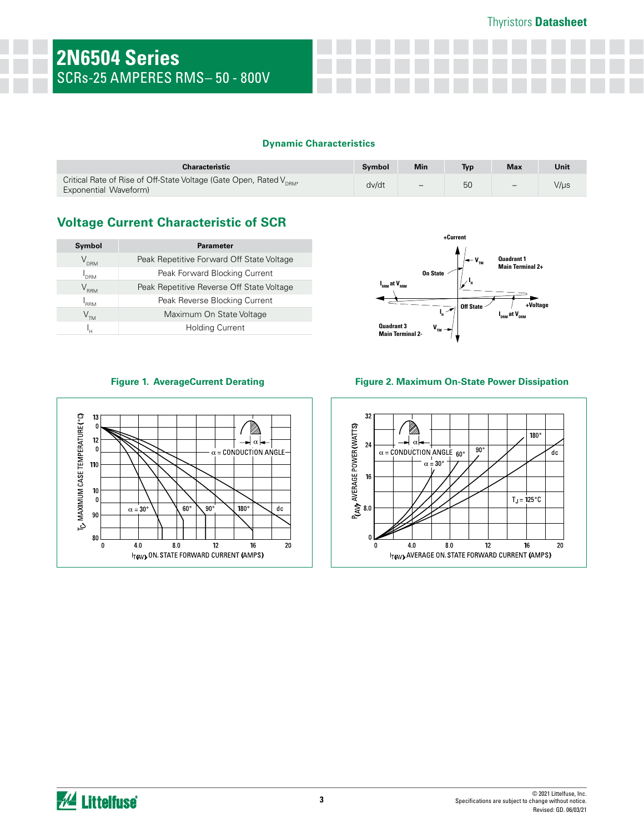#### **Dynamic Characteristics**

| <b>Characteristic</b>                                                                                    | Symbol | <b>Min</b> | Typ | <b>Max</b> | Unit |
|----------------------------------------------------------------------------------------------------------|--------|------------|-----|------------|------|
| Critical Rate of Rise of Off-State Voltage (Gate Open, Rated V <sub>DBM</sub> ,<br>Exponential Waveform) | dv/dt  | -          | 50  | $-$        | V/µs |

## **Voltage Current Characteristic of SCR**

| Symbol                     | <b>Parameter</b>                          |
|----------------------------|-------------------------------------------|
| $\rm V_{_{DRM}}$           | Peak Repetitive Forward Off State Voltage |
| I <sub>drm</sub>           | Peak Forward Blocking Current             |
| $\rm V_{_{RRM}}$           | Peak Repetitive Reverse Off State Voltage |
| "RRM                       | Peak Reverse Blocking Current             |
| $V^{\text{M}}_{\text{DM}}$ | Maximum On State Voltage                  |
|                            | <b>Holding Current</b>                    |





#### **Figure 1. AverageCurrent Derating Figure 2. Maximum On-State Power Dissipation**

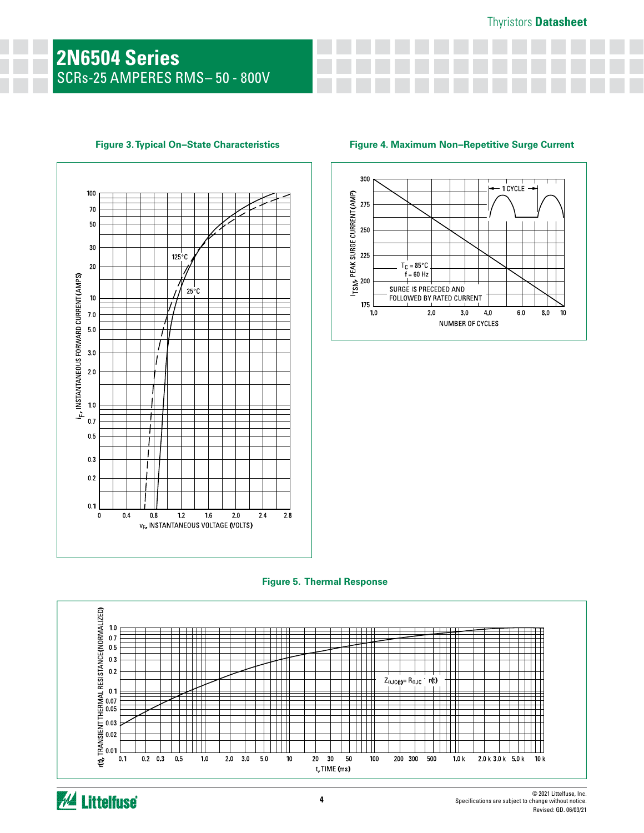# **2N6504 Series**  SCRs-25 AMPERES RMS– 50 - 800V

## 100 70 50 30  $125^{\circ}$ C  $20$ SAMPLY THE TANK CONTROLLER CONTROLLER TO THE TANK SALE OF THE TANK SALE OF THE TANK SALE OF THE TANK SALE OF T<br>
TANK SALE OF TANK SALE OF TANK SALE OF TANK SALE OF TANK SALE OF TANK SALE OF TANK SALE OF TANK SALE OF TANK S  $25^{\circ}$ C ⋕  $\pm$  $0.5$  $\mathbf{I}$  $\mathbf{I}$  $0.3$  $\mathbf{I}$  $0.2$  $0.1$  $04$  $\pmb{0}$  $\bf 0.8$  $1.2$  ${\bf 16}$  $2.0\,$  $2.4\,$  $2.8$ VE, INSTANTANEOUS VOLTAGE (VOLTS)







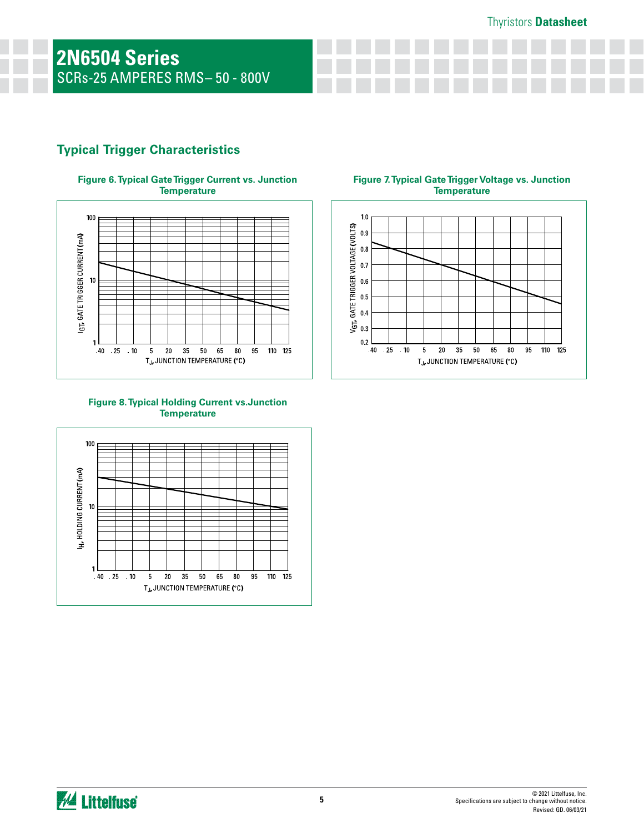## **Typical Trigger Characteristics**





#### **Figure 8. Typical Holding Current vs.Junction Temperature**



#### **Figure 7. Typical Gate Trigger Voltage vs. Junction Temperature**